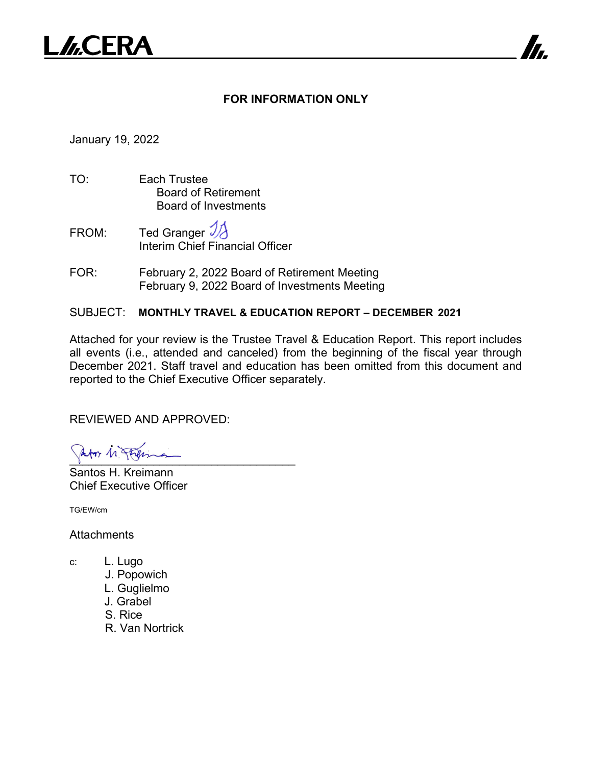

## **FOR INFORMATION ONLY**

7

January 19, 2022

- TO: Each Trustee Board of Retirement Board of Investments
- FROM: Ted Granger Interim Chief Financial Officer
- FOR: February 2, 2022 Board of Retirement Meeting February 9, 2022 Board of Investments Meeting

SUBJECT: **MONTHLY TRAVEL & EDUCATION REPORT – DECEMBER 2021**

Attached for your review is the Trustee Travel & Education Report. This report includes all events (i.e., attended and canceled) from the beginning of the fiscal year through December 2021. Staff travel and education has been omitted from this document and reported to the Chief Executive Officer separately.

REVIEWED AND APPROVED:

 $\frac{1}{2}$ 

Santos H. Kreimann Chief Executive Officer

TG/EW/cm

**Attachments** 

- c: L. Lugo
	- J. Popowich
	- L. Guglielmo
	- J. Grabel
	- S. Rice
	- R. Van Nortrick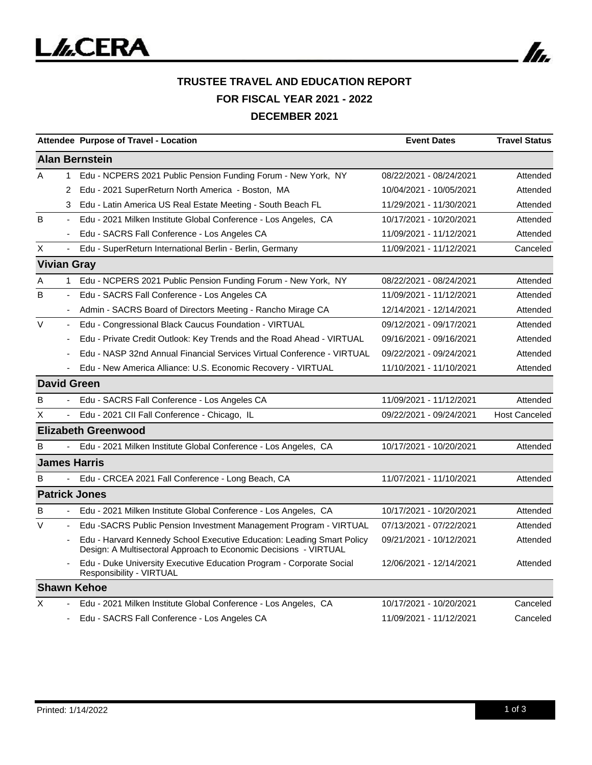

|                       |                          | Attendee Purpose of Travel - Location                                                                                                      | <b>Event Dates</b>      | <b>Travel Status</b> |  |  |
|-----------------------|--------------------------|--------------------------------------------------------------------------------------------------------------------------------------------|-------------------------|----------------------|--|--|
| <b>Alan Bernstein</b> |                          |                                                                                                                                            |                         |                      |  |  |
| A                     | $\mathbf{1}$             | Edu - NCPERS 2021 Public Pension Funding Forum - New York, NY                                                                              | 08/22/2021 - 08/24/2021 | Attended             |  |  |
|                       | 2                        | Edu - 2021 SuperReturn North America - Boston, MA                                                                                          | 10/04/2021 - 10/05/2021 | Attended             |  |  |
|                       | 3                        | Edu - Latin America US Real Estate Meeting - South Beach FL                                                                                | 11/29/2021 - 11/30/2021 | Attended             |  |  |
| B                     | ÷,                       | Edu - 2021 Milken Institute Global Conference - Los Angeles, CA                                                                            | 10/17/2021 - 10/20/2021 | Attended             |  |  |
|                       | ٠                        | Edu - SACRS Fall Conference - Los Angeles CA                                                                                               | 11/09/2021 - 11/12/2021 | Attended             |  |  |
| X                     | $\blacksquare$           | Edu - SuperReturn International Berlin - Berlin, Germany                                                                                   | 11/09/2021 - 11/12/2021 | Canceled             |  |  |
| <b>Vivian Gray</b>    |                          |                                                                                                                                            |                         |                      |  |  |
| Α                     | $\mathbf{1}$             | Edu - NCPERS 2021 Public Pension Funding Forum - New York, NY                                                                              | 08/22/2021 - 08/24/2021 | Attended             |  |  |
| B                     |                          | Edu - SACRS Fall Conference - Los Angeles CA                                                                                               | 11/09/2021 - 11/12/2021 | Attended             |  |  |
|                       |                          | Admin - SACRS Board of Directors Meeting - Rancho Mirage CA                                                                                | 12/14/2021 - 12/14/2021 | Attended             |  |  |
| $\vee$                | ÷,                       | Edu - Congressional Black Caucus Foundation - VIRTUAL                                                                                      | 09/12/2021 - 09/17/2021 | Attended             |  |  |
|                       |                          | Edu - Private Credit Outlook: Key Trends and the Road Ahead - VIRTUAL                                                                      | 09/16/2021 - 09/16/2021 | Attended             |  |  |
|                       |                          | Edu - NASP 32nd Annual Financial Services Virtual Conference - VIRTUAL                                                                     | 09/22/2021 - 09/24/2021 | Attended             |  |  |
|                       |                          | Edu - New America Alliance: U.S. Economic Recovery - VIRTUAL                                                                               | 11/10/2021 - 11/10/2021 | Attended             |  |  |
|                       |                          | <b>David Green</b>                                                                                                                         |                         |                      |  |  |
| B                     |                          | Edu - SACRS Fall Conference - Los Angeles CA                                                                                               | 11/09/2021 - 11/12/2021 | Attended             |  |  |
| X                     |                          | Edu - 2021 CII Fall Conference - Chicago, IL                                                                                               | 09/22/2021 - 09/24/2021 | <b>Host Canceled</b> |  |  |
|                       |                          | <b>Elizabeth Greenwood</b>                                                                                                                 |                         |                      |  |  |
| в                     |                          | Edu - 2021 Milken Institute Global Conference - Los Angeles, CA                                                                            | 10/17/2021 - 10/20/2021 | Attended             |  |  |
| <b>James Harris</b>   |                          |                                                                                                                                            |                         |                      |  |  |
| B                     |                          | Edu - CRCEA 2021 Fall Conference - Long Beach, CA                                                                                          | 11/07/2021 - 11/10/2021 | Attended             |  |  |
|                       |                          | <b>Patrick Jones</b>                                                                                                                       |                         |                      |  |  |
| в                     | $\blacksquare$           | Edu - 2021 Milken Institute Global Conference - Los Angeles, CA                                                                            | 10/17/2021 - 10/20/2021 | Attended             |  |  |
| $\vee$                | $\overline{\phantom{0}}$ | Edu -SACRS Public Pension Investment Management Program - VIRTUAL                                                                          | 07/13/2021 - 07/22/2021 | Attended             |  |  |
|                       |                          | Edu - Harvard Kennedy School Executive Education: Leading Smart Policy<br>Design: A Multisectoral Approach to Economic Decisions - VIRTUAL | 09/21/2021 - 10/12/2021 | Attended             |  |  |
|                       |                          | Edu - Duke University Executive Education Program - Corporate Social<br>Responsibility - VIRTUAL                                           | 12/06/2021 - 12/14/2021 | Attended             |  |  |
|                       |                          | <b>Shawn Kehoe</b>                                                                                                                         |                         |                      |  |  |
| X                     |                          | Edu - 2021 Milken Institute Global Conference - Los Angeles, CA                                                                            | 10/17/2021 - 10/20/2021 | Canceled             |  |  |
|                       |                          | Edu - SACRS Fall Conference - Los Angeles CA                                                                                               | 11/09/2021 - 11/12/2021 | Canceled             |  |  |

In.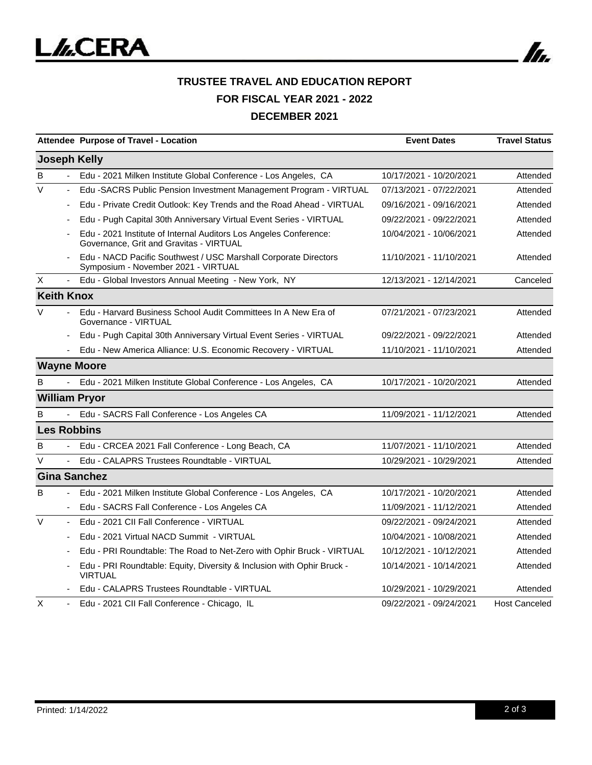

## **TRUSTEE TRAVEL AND EDUCATION REPORT FOR FISCAL YEAR 2021 - 2022 DECEMBER 2021**

|                     |                | Attendee Purpose of Travel - Location                                                                        | <b>Event Dates</b>      | <b>Travel Status</b> |
|---------------------|----------------|--------------------------------------------------------------------------------------------------------------|-------------------------|----------------------|
|                     |                | <b>Joseph Kelly</b>                                                                                          |                         |                      |
| в                   |                | Edu - 2021 Milken Institute Global Conference - Los Angeles, CA                                              | 10/17/2021 - 10/20/2021 | Attended             |
| V                   |                | Edu -SACRS Public Pension Investment Management Program - VIRTUAL                                            | 07/13/2021 - 07/22/2021 | Attended             |
|                     |                | Edu - Private Credit Outlook: Key Trends and the Road Ahead - VIRTUAL                                        | 09/16/2021 - 09/16/2021 | Attended             |
|                     |                | Edu - Pugh Capital 30th Anniversary Virtual Event Series - VIRTUAL                                           | 09/22/2021 - 09/22/2021 | Attended             |
|                     |                | Edu - 2021 Institute of Internal Auditors Los Angeles Conference:<br>Governance, Grit and Gravitas - VIRTUAL | 10/04/2021 - 10/06/2021 | Attended             |
|                     |                | Edu - NACD Pacific Southwest / USC Marshall Corporate Directors<br>Symposium - November 2021 - VIRTUAL       | 11/10/2021 - 11/10/2021 | Attended             |
| Χ                   | $\blacksquare$ | Edu - Global Investors Annual Meeting - New York, NY                                                         | 12/13/2021 - 12/14/2021 | Canceled             |
| <b>Keith Knox</b>   |                |                                                                                                              |                         |                      |
| V                   |                | Edu - Harvard Business School Audit Committees In A New Era of<br>Governance - VIRTUAL                       | 07/21/2021 - 07/23/2021 | Attended             |
|                     |                | Edu - Pugh Capital 30th Anniversary Virtual Event Series - VIRTUAL                                           | 09/22/2021 - 09/22/2021 | Attended             |
|                     |                | Edu - New America Alliance: U.S. Economic Recovery - VIRTUAL                                                 | 11/10/2021 - 11/10/2021 | Attended             |
|                     |                | <b>Wayne Moore</b>                                                                                           |                         |                      |
| B                   |                | Edu - 2021 Milken Institute Global Conference - Los Angeles, CA                                              | 10/17/2021 - 10/20/2021 | Attended             |
|                     |                | <b>William Pryor</b>                                                                                         |                         |                      |
| B                   |                | Edu - SACRS Fall Conference - Los Angeles CA                                                                 | 11/09/2021 - 11/12/2021 | Attended             |
|                     |                | <b>Les Robbins</b>                                                                                           |                         |                      |
| B                   |                | Edu - CRCEA 2021 Fall Conference - Long Beach, CA                                                            | 11/07/2021 - 11/10/2021 | Attended             |
| V                   | $\blacksquare$ | Edu - CALAPRS Trustees Roundtable - VIRTUAL                                                                  | 10/29/2021 - 10/29/2021 | Attended             |
| <b>Gina Sanchez</b> |                |                                                                                                              |                         |                      |
| B                   |                | Edu - 2021 Milken Institute Global Conference - Los Angeles, CA                                              | 10/17/2021 - 10/20/2021 | Attended             |
|                     |                | Edu - SACRS Fall Conference - Los Angeles CA                                                                 | 11/09/2021 - 11/12/2021 | Attended             |
| $\vee$              |                | Edu - 2021 CII Fall Conference - VIRTUAL                                                                     | 09/22/2021 - 09/24/2021 | Attended             |
|                     |                | Edu - 2021 Virtual NACD Summit - VIRTUAL                                                                     | 10/04/2021 - 10/08/2021 | Attended             |
|                     |                | Edu - PRI Roundtable: The Road to Net-Zero with Ophir Bruck - VIRTUAL                                        | 10/12/2021 - 10/12/2021 | Attended             |
|                     |                | Edu - PRI Roundtable: Equity, Diversity & Inclusion with Ophir Bruck -<br><b>VIRTUAL</b>                     | 10/14/2021 - 10/14/2021 | Attended             |
|                     |                | Edu - CALAPRS Trustees Roundtable - VIRTUAL                                                                  | 10/29/2021 - 10/29/2021 | Attended             |
| X                   |                | Edu - 2021 CII Fall Conference - Chicago, IL                                                                 | 09/22/2021 - 09/24/2021 | <b>Host Canceled</b> |